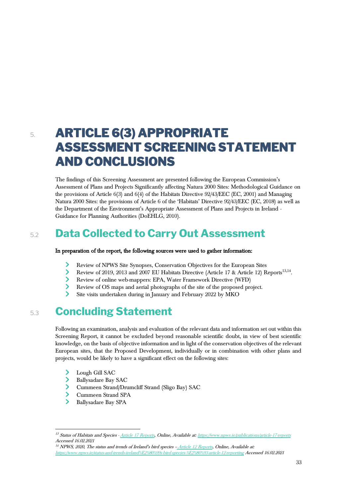## 5. **ARTICLE 6(3) APPROPRIATE ASSESSMENT SCREENING STATEMENT AND CONCLUSIONS**

The findings of this Screening Assessment are presented following the European Commission's Assessment of Plans and Projects Significantly affecting Natura 2000 Sites: Methodological Guidance on the provisions of Article 6(3) and 6(4) of the Habitats Directive 92/43/EEC (EC, 2001) and Managing Natura 2000 Sites: the provisions of Article 6 of the 'Habitats' Directive 92/43/EEC (EC, 2018) as well as the Department of the Environment's Appropriate Assessment of Plans and Projects in Ireland - Guidance for Planning Authorities (DoEHLG, 2010).

## 5.2 **Data Collected to Carry Out Assessment**

## In preparation of the report, the following sources were used to gather information:

- $\blacktriangleright$ Review of NPWS Site Synopses, Conservation Objectives for the European Sites
- Review of 2019, 2013 and 2007 EU Habitats Directive (Article 17 & Article 12) Reports<sup>13,14</sup>.
- $\blacktriangleright$ Review of online web-mappers: EPA, Water Framework Directive (WFD)
- Review of OS maps and aerial photographs of the site of the proposed project.
- Site visits undertaken during in January and February 2022 by MKO

## 5.3 **Concluding Statement**

Following an examination, analysis and evaluation of the relevant data and information set out within this Screening Report, it cannot be excluded beyond reasonable scientific doubt, in view of best scientific knowledge, on the basis of objective information and in light of the conservation objectives of the relevant European sites, that the Proposed Development, individually or in combination with other plans and projects, would be likely to have a significant effect on the following sites:

- ⋗ Lough Gill SAC
- ⋗ Ballysadare Bay SAC
- Cummeen Strand/Drumcliff Strand (Sligo Bay) SAC
- $\blacktriangleright$ Cummeen Strand SPA
- $\blacktriangleright$ Ballysadare Bay SPA

<sup>&</sup>lt;sup>13</sup> Status of Habitats and Species - [Article 17 Reports,](http://www.npws.ie/publications/article-17-reports) Online, Available at[: https://www.npws.ie/publications/article-17-reports](https://www.npws.ie/publications/article-17-reports) Accessed 16.02.2021

 $14$  NPWS, 2020, The status and trends of Ireland's bird species - [Article 12 Reports,](http://www.npws.ie/status-and-trends-ireland%E2%80%99s-bird-species-%E2%80%93-article-12-reporting) Online, Available at: <https://www.npws.ie/status-and-trends-ireland%E2%80%99s-bird-species-%E2%80%93-article-12-reporting> Accessed 16.02.2021